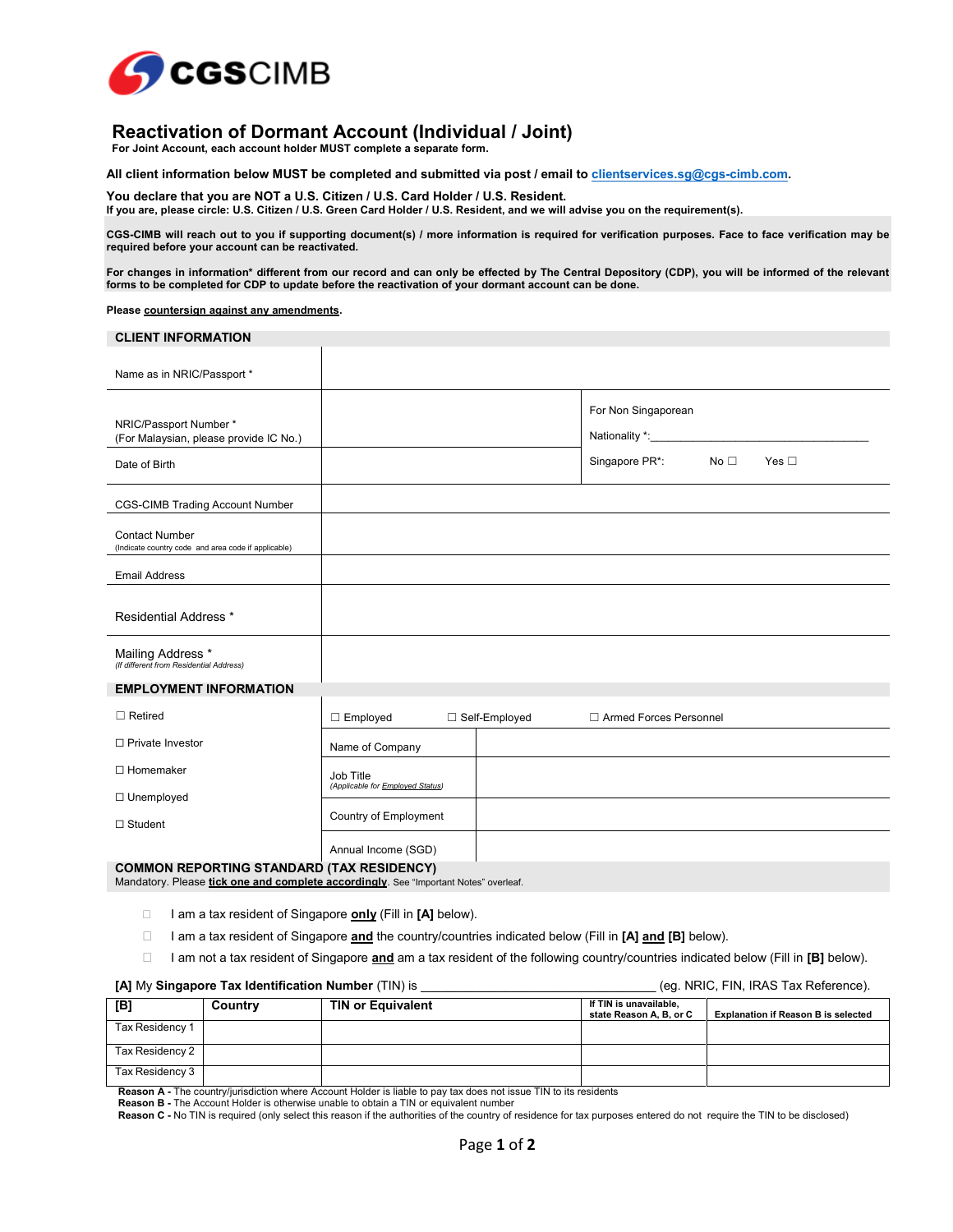

# **Reactivation of Dormant Account (Individual / Joint)**

**For Joint Account, each account holder MUST complete a separate form.**

**All client information below MUST be completed and submitted via post / email to clientservices.sg@cgs-cimb.com.** 

**You declare that you are NOT a U.S. Citizen / U.S. Card Holder / U.S. Resident. If you are, please circle: U.S. Citizen / U.S. Green Card Holder / U.S. Resident, and we will advise you on the requirement(s).**

**CGS-CIMB will reach out to you if supporting document(s) / more information is required for verification purposes. Face to face verification may be required before your account can be reactivated.** 

**For changes in information\* different from our record and can only be effected by The Central Depository (CDP), you will be informed of the relevant forms to be completed for CDP to update before the reactivation of your dormant account can be done.** 

**Please countersign against any amendments.** 

| <b>CLIENT INFORMATION</b>                                                        |                                          |  |                                                          |               |
|----------------------------------------------------------------------------------|------------------------------------------|--|----------------------------------------------------------|---------------|
| Name as in NRIC/Passport *                                                       |                                          |  |                                                          |               |
| NRIC/Passport Number*<br>(For Malaysian, please provide IC No.)<br>Date of Birth |                                          |  | For Non Singaporean<br>Singapore PR*:<br>No <sub>1</sub> | Yes $\square$ |
| <b>CGS-CIMB Trading Account Number</b>                                           |                                          |  |                                                          |               |
| <b>Contact Number</b><br>(Indicate country code and area code if applicable)     |                                          |  |                                                          |               |
| <b>Email Address</b>                                                             |                                          |  |                                                          |               |
| <b>Residential Address *</b>                                                     |                                          |  |                                                          |               |
| Mailing Address *<br>(If different from Residential Address)                     |                                          |  |                                                          |               |
| <b>EMPLOYMENT INFORMATION</b>                                                    |                                          |  |                                                          |               |
| $\Box$ Retired                                                                   | $\Box$ Employed<br>□ Self-Employed       |  | □ Armed Forces Personnel                                 |               |
| □ Private Investor                                                               | Name of Company                          |  |                                                          |               |
| $\Box$ Homemaker                                                                 | Job Title                                |  |                                                          |               |
| $\Box$ Unemployed                                                                | (Applicable for <b>Employed Status</b> ) |  |                                                          |               |
| $\Box$ Student                                                                   | Country of Employment                    |  |                                                          |               |
|                                                                                  | Annual Income (SGD)                      |  |                                                          |               |
| <b>COMMON REPORTING STANDARD (TAX RESIDENCY)</b>                                 |                                          |  |                                                          |               |

Mandatory. Please **tick one and complete accordingly**. See "Important Notes" overleaf.

- □ I am a tax resident of Singapore **only** (Fill in [A] below).
- I am a tax resident of Singapore **and** the country/countries indicated below (Fill in **[A] and [B]** below).
- I am not a tax resident of Singapore **and** am a tax resident of the following country/countries indicated below (Fill in **[B]** below).

## **[A]** My **Singapore Tax Identification Number** (TIN) is \_\_\_\_\_\_\_\_\_\_\_\_\_\_\_\_\_\_\_\_\_\_\_\_\_\_\_\_\_\_\_\_\_\_ (eg. NRIC, FIN, IRAS Tax Reference).

| [B]             | Country | <b>TIN or Equivalent</b> | If TIN is unavailable,<br>state Reason A, B, or C | <b>Explanation if Reason B is selected</b> |  |
|-----------------|---------|--------------------------|---------------------------------------------------|--------------------------------------------|--|
| Tax Residency 1 |         |                          |                                                   |                                            |  |
| Tax Residency 2 |         |                          |                                                   |                                            |  |
| Tax Residency 3 |         |                          |                                                   |                                            |  |

**Reason A -** The country/jurisdiction where Account Holder is liable to pay tax does not issue TIN to its residents

**Reason B -** The Account Holder is otherwise unable to obtain a TIN or equivalent number

**Reason C -** No TIN is required (only select this reason if the authorities of the country of residence for tax purposes entered do not require the TIN to be disclosed)